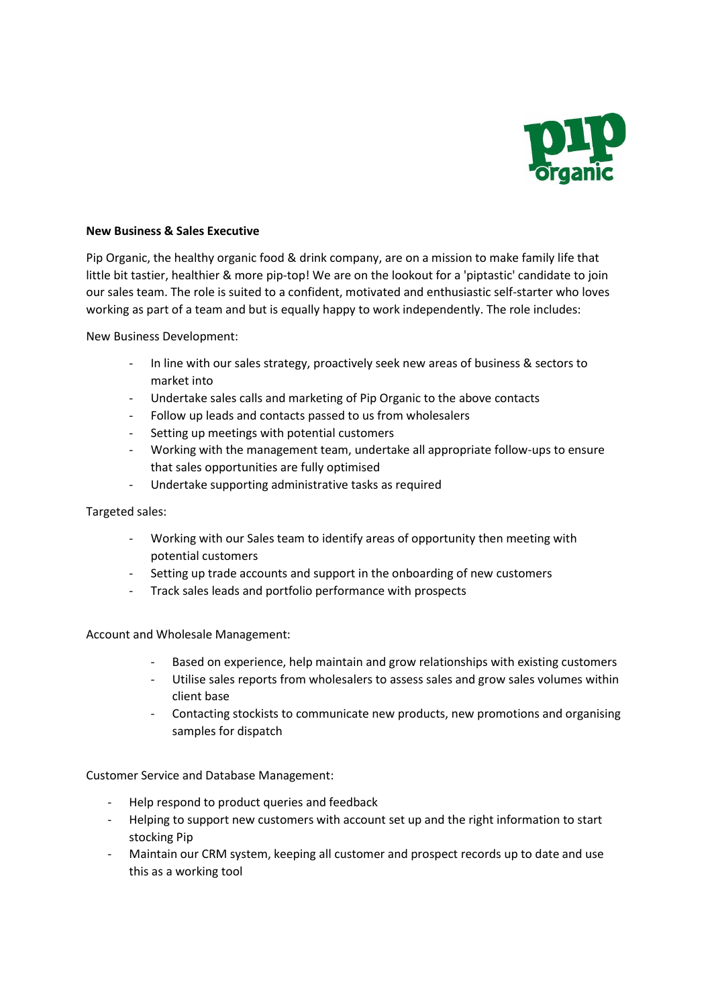

## **New Business & Sales Executive**

Pip Organic, the healthy organic food & drink company, are on a mission to make family life that little bit tastier, healthier & more pip-top! We are on the lookout for a 'piptastic' candidate to join our sales team. The role is suited to a confident, motivated and enthusiastic self-starter who loves working as part of a team and but is equally happy to work independently. The role includes:

New Business Development:

- In line with our sales strategy, proactively seek new areas of business & sectors to market into
- Undertake sales calls and marketing of Pip Organic to the above contacts
- Follow up leads and contacts passed to us from wholesalers
- Setting up meetings with potential customers
- Working with the management team, undertake all appropriate follow-ups to ensure that sales opportunities are fully optimised
- Undertake supporting administrative tasks as required

Targeted sales:

- Working with our Sales team to identify areas of opportunity then meeting with potential customers
- Setting up trade accounts and support in the onboarding of new customers
- Track sales leads and portfolio performance with prospects

Account and Wholesale Management:

- Based on experience, help maintain and grow relationships with existing customers
- Utilise sales reports from wholesalers to assess sales and grow sales volumes within client base
- Contacting stockists to communicate new products, new promotions and organising samples for dispatch

Customer Service and Database Management:

- Help respond to product queries and feedback
- Helping to support new customers with account set up and the right information to start stocking Pip
- Maintain our CRM system, keeping all customer and prospect records up to date and use this as a working tool